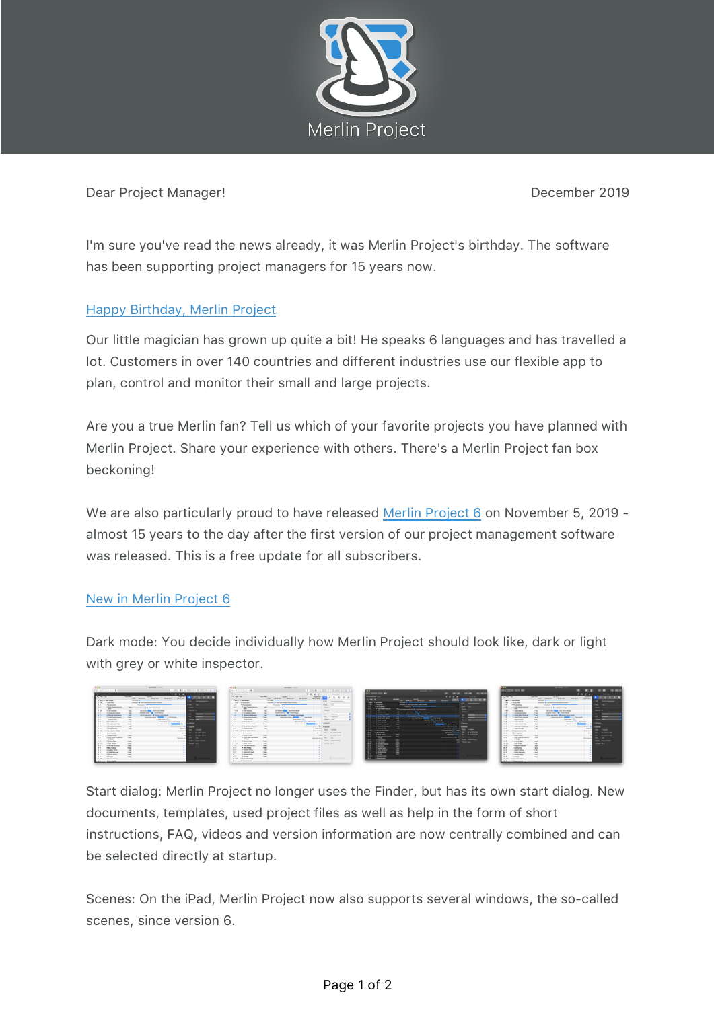

Dear Project Manager! **Dear Project Manager!** 2019

I'm sure you've read the news already, it was Merlin Project's birthday. The software has been supporting project managers for 15 years now.

## Happy Birthday, Merlin Project

Our little magician has grown up quite a bit! He speaks 6 languages and has travelled a lot. Customers in over 140 countries and different industries use our flexible app to plan, control and monitor their small and large projects.

Are you a true Merlin fan? Tell us which of your favorite projects you have planned with Merlin Project. Share your experience with others. There's a Merlin Project fan box beckoning!

We are also particularly proud to have released Merlin Project 6 on November 5, 2019 almost 15 years to the day after the first version of our project management software was released. This is a free update for all subscribers.

## New in Merlin Project 6

Dark mode: You decide individually how Merlin Project should look like, dark or light with grey or white inspector.



Start dialog: Merlin Project no longer uses the Finder, but has its own start dialog. New documents, templates, used project files as well as help in the form of short instructions, FAQ, videos and version information are now centrally combined and can be selected directly at startup.

Scenes: On the iPad, Merlin Project now also supports several windows, the so-called scenes, since version 6.